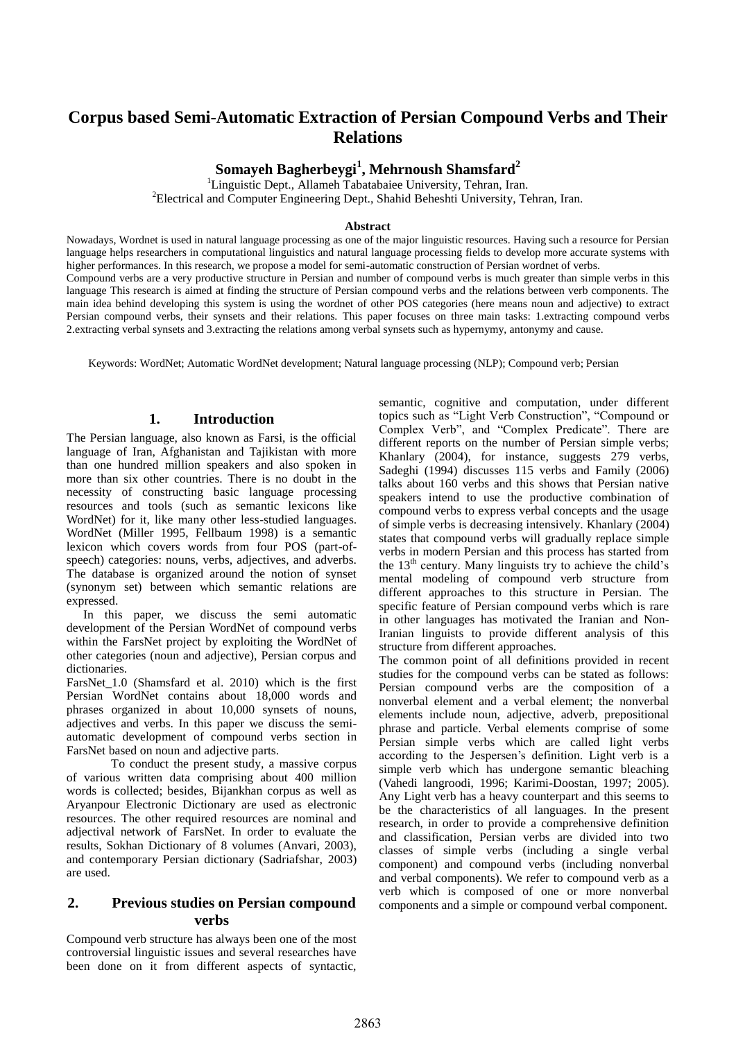# **Corpus based Semi-Automatic Extraction of Persian Compound Verbs and Their Relations**

**Somayeh Bagherbeygi<sup>1</sup> , Mehrnoush Shamsfard<sup>2</sup>**

<sup>1</sup>Linguistic Dept., Allameh Tabatabaiee University, Tehran, Iran. <sup>2</sup>Electrical and Computer Engineering Dept., Shahid Beheshti University, Tehran, Iran.

### **Abstract**

Nowadays, Wordnet is used in natural language processing as one of the major linguistic resources. Having such a resource for Persian language helps researchers in computational linguistics and natural language processing fields to develop more accurate systems with higher performances. In this research, we propose a model for semi-automatic construction of Persian wordnet of verbs. Compound verbs are a very productive structure in Persian and number of compound verbs is much greater than simple verbs in this language This research is aimed at finding the structure of Persian compound verbs and the relations between verb components. The main idea behind developing this system is using the wordnet of other POS categories (here means noun and adjective) to extract Persian compound verbs, their synsets and their relations. This paper focuses on three main tasks: 1.extracting compound verbs 2.extracting verbal synsets and 3.extracting the relations among verbal synsets such as hypernymy, antonymy and cause.

Keywords: WordNet; Automatic WordNet development; Natural language processing (NLP); Compound verb; Persian

## **1. Introduction**

The Persian language, also known as Farsi, is the official language of Iran, Afghanistan and Tajikistan with more than one hundred million speakers and also spoken in more than six other countries. There is no doubt in the necessity of constructing basic language processing resources and tools (such as semantic lexicons like WordNet) for it, like many other less-studied languages. WordNet (Miller 1995, Fellbaum 1998) is a semantic lexicon which covers words from four POS (part-ofspeech) categories: nouns, verbs, adjectives, and adverbs. The database is organized around the notion of synset (synonym set) between which semantic relations are expressed.

In this paper, we discuss the semi automatic development of the Persian WordNet of compound verbs within the FarsNet project by exploiting the WordNet of other categories (noun and adjective), Persian corpus and dictionaries.

FarsNet 1.0 (Shamsfard et al. 2010) which is the first Persian WordNet contains about 18,000 words and phrases organized in about 10,000 synsets of nouns, adjectives and verbs. In this paper we discuss the semiautomatic development of compound verbs section in FarsNet based on noun and adjective parts.

To conduct the present study, a massive corpus of various written data comprising about 400 million words is collected; besides, Bijankhan corpus as well as Aryanpour Electronic Dictionary are used as electronic resources. The other required resources are nominal and adjectival network of FarsNet. In order to evaluate the results, Sokhan Dictionary of 8 volumes (Anvari, 2003), and contemporary Persian dictionary (Sadriafshar, 2003) are used.

# **2. Previous studies on Persian compound verbs**

Compound verb structure has always been one of the most controversial linguistic issues and several researches have been done on it from different aspects of syntactic, semantic, cognitive and computation, under different topics such as "Light Verb Construction", "Compound or Complex Verb", and "Complex Predicate". There are different reports on the number of Persian simple verbs; Khanlary (2004), for instance, suggests 279 verbs, Sadeghi (1994) discusses 115 verbs and Family (2006) talks about 160 verbs and this shows that Persian native speakers intend to use the productive combination of compound verbs to express verbal concepts and the usage of simple verbs is decreasing intensively. Khanlary (2004) states that compound verbs will gradually replace simple verbs in modern Persian and this process has started from the  $13<sup>th</sup>$  century. Many linguists try to achieve the child's mental modeling of compound verb structure from different approaches to this structure in Persian. The specific feature of Persian compound verbs which is rare in other languages has motivated the Iranian and Non-Iranian linguists to provide different analysis of this structure from different approaches.

The common point of all definitions provided in recent studies for the compound verbs can be stated as follows: Persian compound verbs are the composition of a nonverbal element and a verbal element; the nonverbal elements include noun, adjective, adverb, prepositional phrase and particle. Verbal elements comprise of some Persian simple verbs which are called light verbs according to the Jespersen's definition. Light verb is a simple verb which has undergone semantic bleaching (Vahedi langroodi, 1996; Karimi-Doostan, 1997; 2005). Any Light verb has a heavy counterpart and this seems to be the characteristics of all languages. In the present research, in order to provide a comprehensive definition and classification, Persian verbs are divided into two classes of simple verbs (including a single verbal component) and compound verbs (including nonverbal and verbal components). We refer to compound verb as a verb which is composed of one or more nonverbal components and a simple or compound verbal component.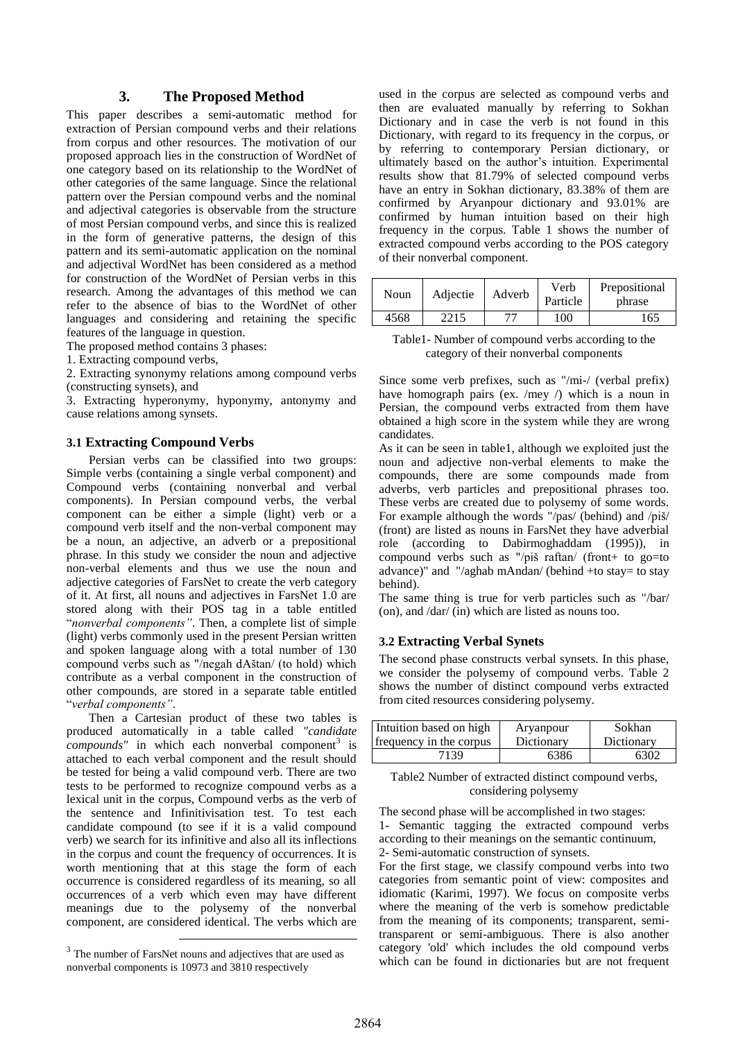## **3. The Proposed Method**

This paper describes a semi-automatic method for extraction of Persian compound verbs and their relations from corpus and other resources. The motivation of our proposed approach lies in the construction of WordNet of one category based on its relationship to the WordNet of other categories of the same language. Since the relational pattern over the Persian compound verbs and the nominal and adjectival categories is observable from the structure of most Persian compound verbs, and since this is realized in the form of generative patterns, the design of this pattern and its semi-automatic application on the nominal and adjectival WordNet has been considered as a method for construction of the WordNet of Persian verbs in this research. Among the advantages of this method we can refer to the absence of bias to the WordNet of other languages and considering and retaining the specific features of the language in question.

The proposed method contains 3 phases:

1. Extracting compound verbs,

2. Extracting synonymy relations among compound verbs (constructing synsets), and

3. Extracting hyperonymy, hyponymy, antonymy and cause relations among synsets.

### **3.1 Extracting Compound Verbs**

Persian verbs can be classified into two groups: Simple verbs (containing a single verbal component) and Compound verbs (containing nonverbal and verbal components). In Persian compound verbs, the verbal component can be either a simple (light) verb or a compound verb itself and the non-verbal component may be a noun, an adjective, an adverb or a prepositional phrase. In this study we consider the noun and adjective non-verbal elements and thus we use the noun and adjective categories of FarsNet to create the verb category of it. At first, all nouns and adjectives in FarsNet 1.0 are stored along with their POS tag in a table entitled "*nonverbal components"*. Then, a complete list of simple (light) verbs commonly used in the present Persian written and spoken language along with a total number of 130 compound verbs such as "/negah dAštan/ (to hold) which contribute as a verbal component in the construction of other compounds, are stored in a separate table entitled "*verbal components"*.

Then a Cartesian product of these two tables is produced automatically in a table called *"candidate compounds*" in which each nonverbal component<sup>3</sup> is attached to each verbal component and the result should be tested for being a valid compound verb. There are two tests to be performed to recognize compound verbs as a lexical unit in the corpus, Compound verbs as the verb of the sentence and Infinitivisation test. To test each candidate compound (to see if it is a valid compound verb) we search for its infinitive and also all its inflections in the corpus and count the frequency of occurrences. It is worth mentioning that at this stage the form of each occurrence is considered regardless of its meaning, so all occurrences of a verb which even may have different meanings due to the polysemy of the nonverbal component, are considered identical. The verbs which are

1

used in the corpus are selected as compound verbs and then are evaluated manually by referring to Sokhan Dictionary and in case the verb is not found in this Dictionary, with regard to its frequency in the corpus, or by referring to contemporary Persian dictionary, or ultimately based on the author's intuition. Experimental results show that 81.79% of selected compound verbs have an entry in Sokhan dictionary, 83.38% of them are confirmed by Aryanpour dictionary and 93.01% are confirmed by human intuition based on their high frequency in the corpus. Table 1 shows the number of extracted compound verbs according to the POS category of their nonverbal component.

| Noun | Adjectie | Adverb | Verb<br>Particle | Prepositional<br>phrase |
|------|----------|--------|------------------|-------------------------|
| 4568 | 2215     |        | 100              | 165                     |

Table1- Number of compound verbs according to the category of their nonverbal components

Since some verb prefixes, such as "/mi-/ (verbal prefix) have homograph pairs (ex. /mey /) which is a noun in Persian, the compound verbs extracted from them have obtained a high score in the system while they are wrong candidates.

As it can be seen in table1, although we exploited just the noun and adjective non-verbal elements to make the compounds, there are some compounds made from adverbs, verb particles and prepositional phrases too. These verbs are created due to polysemy of some words. For example although the words "/pas/ (behind) and /piš/ (front) are listed as nouns in FarsNet they have adverbial role (according to Dabirmoghaddam (1995)), in compound verbs such as "/piš raftan/ (front+ to go=to advance)" and "/aghab mAndan/ (behind +to stay= to stay behind).

The same thing is true for verb particles such as "/bar/ (on), and /dar/ (in) which are listed as nouns too.

## **3.2 Extracting Verbal Synets**

The second phase constructs verbal synsets. In this phase, we consider the polysemy of compound verbs. Table 2 shows the number of distinct compound verbs extracted from cited resources considering polysemy.

| Intuition based on high | Aryanpour  | Sokhan     |
|-------------------------|------------|------------|
| frequency in the corpus | Dictionary | Dictionary |
| 7139                    | 6386       | 6302       |

#### Table2 Number of extracted distinct compound verbs, considering polysemy

The second phase will be accomplished in two stages: 1- Semantic tagging the extracted compound verbs according to their meanings on the semantic continuum, 2- Semi-automatic construction of synsets.

For the first stage, we classify compound verbs into two categories from semantic point of view: composites and idiomatic (Karimi, 1997). We focus on composite verbs where the meaning of the verb is somehow predictable from the meaning of its components; transparent, semitransparent or semi-ambiguous. There is also another category 'old' which includes the old compound verbs which can be found in dictionaries but are not frequent

<sup>&</sup>lt;sup>3</sup> The number of FarsNet nouns and adjectives that are used as nonverbal components is 10973 and 3810 respectively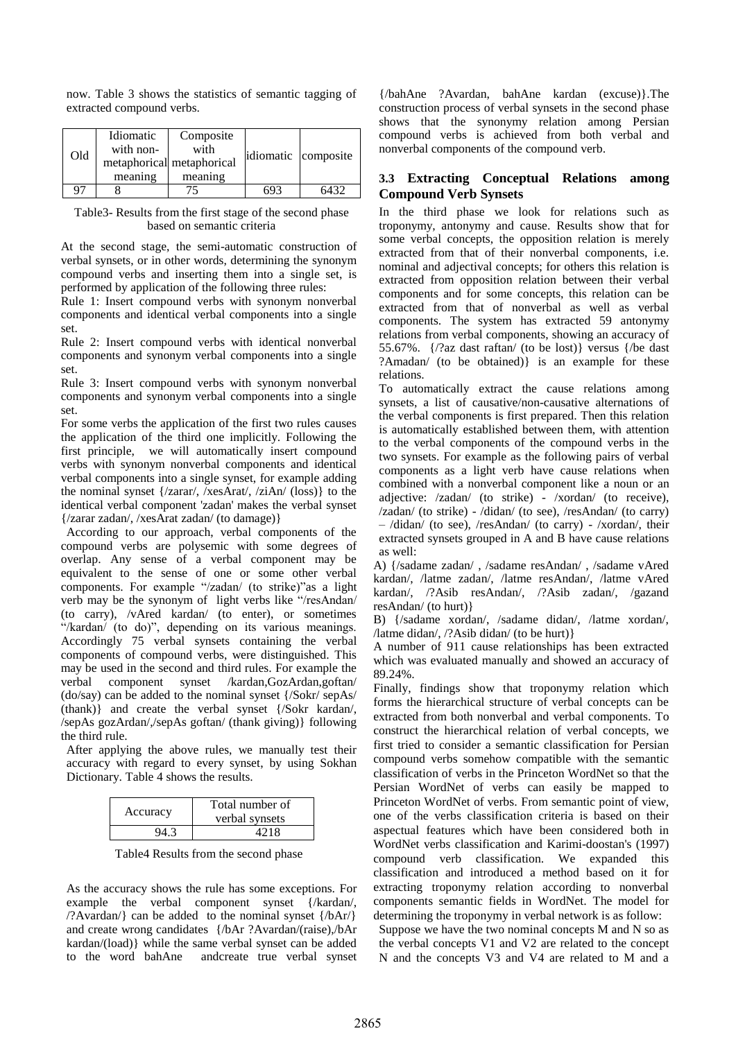now. Table 3 shows the statistics of semantic tagging of extracted compound verbs.

| Old                | Idiomatic<br>with non-<br>meaning | Composite<br>with<br>metaphorical metaphorical<br>meaning | idiomatic composite |
|--------------------|-----------------------------------|-----------------------------------------------------------|---------------------|
| $Q^{\prime\prime}$ |                                   |                                                           | 6432                |

Table3- Results from the first stage of the second phase based on semantic criteria

At the second stage, the semi-automatic construction of verbal synsets, or in other words, determining the synonym compound verbs and inserting them into a single set, is performed by application of the following three rules:

Rule 1: Insert compound verbs with synonym nonverbal components and identical verbal components into a single set.

Rule 2: Insert compound verbs with identical nonverbal components and synonym verbal components into a single set.

Rule 3: Insert compound verbs with synonym nonverbal components and synonym verbal components into a single set.

For some verbs the application of the first two rules causes the application of the third one implicitly. Following the first principle, we will automatically insert compound verbs with synonym nonverbal components and identical verbal components into a single synset, for example adding the nominal synset {/zarar/, /xesArat/, /ziAn/ (loss)} to the identical verbal component 'zadan' makes the verbal synset {/zarar zadan/, /xesArat zadan/ (to damage)}

According to our approach, verbal components of the compound verbs are polysemic with some degrees of overlap. Any sense of a verbal component may be equivalent to the sense of one or some other verbal components. For example "/zadan/ (to strike)"as a light verb may be the synonym of light verbs like "/resAndan/ (to carry), /vAred kardan/ (to enter), or sometimes "/kardan/ (to do)", depending on its various meanings. Accordingly 75 verbal synsets containing the verbal components of compound verbs, were distinguished. This may be used in the second and third rules. For example the verbal component synset /kardan,GozArdan,goftan/ (do/say) can be added to the nominal synset {/Sokr/ sepAs/ (thank)} and create the verbal synset {/Sokr kardan/, /sepAs gozArdan/,/sepAs goftan/ (thank giving)} following the third rule.

After applying the above rules, we manually test their accuracy with regard to every synset, by using Sokhan Dictionary. Table 4 shows the results.

| Accuracy | Total number of<br>verbal synsets |  |
|----------|-----------------------------------|--|
|          | 42 I R                            |  |

Table4 Results from the second phase

As the accuracy shows the rule has some exceptions. For example the verbal component synset {/kardan/,  $\langle$ ?Avardan $\langle$ } can be added to the nominal synset  $\{\frac{\Delta r}{r}\}$ and create wrong candidates {/bAr ?Avardan/(raise),/bAr kardan/(load)} while the same verbal synset can be added to the word bahAne andcreate true verbal synset

{/bahAne ?Avardan, bahAne kardan (excuse)}.The construction process of verbal synsets in the second phase shows that the synonymy relation among Persian compound verbs is achieved from both verbal and nonverbal components of the compound verb.

# **3.3 Extracting Conceptual Relations among Compound Verb Synsets**

In the third phase we look for relations such as troponymy, antonymy and cause. Results show that for some verbal concepts, the opposition relation is merely extracted from that of their nonverbal components, i.e. nominal and adjectival concepts; for others this relation is extracted from opposition relation between their verbal components and for some concepts, this relation can be extracted from that of nonverbal as well as verbal components. The system has extracted 59 antonymy relations from verbal components, showing an accuracy of 55.67%. {/?az dast raftan/ (to be lost)} versus {/be dast ?Amadan/ (to be obtained)} is an example for these relations.

To automatically extract the cause relations among synsets, a list of causative/non-causative alternations of the verbal components is first prepared. Then this relation is automatically established between them, with attention to the verbal components of the compound verbs in the two synsets. For example as the following pairs of verbal components as a light verb have cause relations when combined with a nonverbal component like a noun or an adjective: /zadan/ (to strike) - /xordan/ (to receive), /zadan/ (to strike) - /didan/ (to see), /resAndan/ (to carry) – /didan/ (to see), /resAndan/ (to carry) - /xordan/, their extracted synsets grouped in A and B have cause relations as well:

A) {/sadame zadan/ , /sadame resAndan/ , /sadame vAred kardan/, /latme zadan/, /latme resAndan/, /latme vAred kardan/, /?Asib resAndan/, /?Asib zadan/, /gazand resAndan/ (to hurt)}

B) {/sadame xordan/, /sadame didan/, /latme xordan/, /latme didan/, /?Asib didan/ (to be hurt)}

A number of 911 cause relationships has been extracted which was evaluated manually and showed an accuracy of 89.24%.

Finally, findings show that troponymy relation which forms the hierarchical structure of verbal concepts can be extracted from both nonverbal and verbal components. To construct the hierarchical relation of verbal concepts, we first tried to consider a semantic classification for Persian compound verbs somehow compatible with the semantic classification of verbs in the Princeton WordNet so that the Persian WordNet of verbs can easily be mapped to Princeton WordNet of verbs. From semantic point of view, one of the verbs classification criteria is based on their aspectual features which have been considered both in WordNet verbs classification and Karimi-doostan's (1997) compound verb classification. We expanded this classification and introduced a method based on it for extracting troponymy relation according to nonverbal components semantic fields in WordNet. The model for determining the troponymy in verbal network is as follow:

Suppose we have the two nominal concepts M and N so as the verbal concepts V1 and V2 are related to the concept N and the concepts V3 and V4 are related to M and a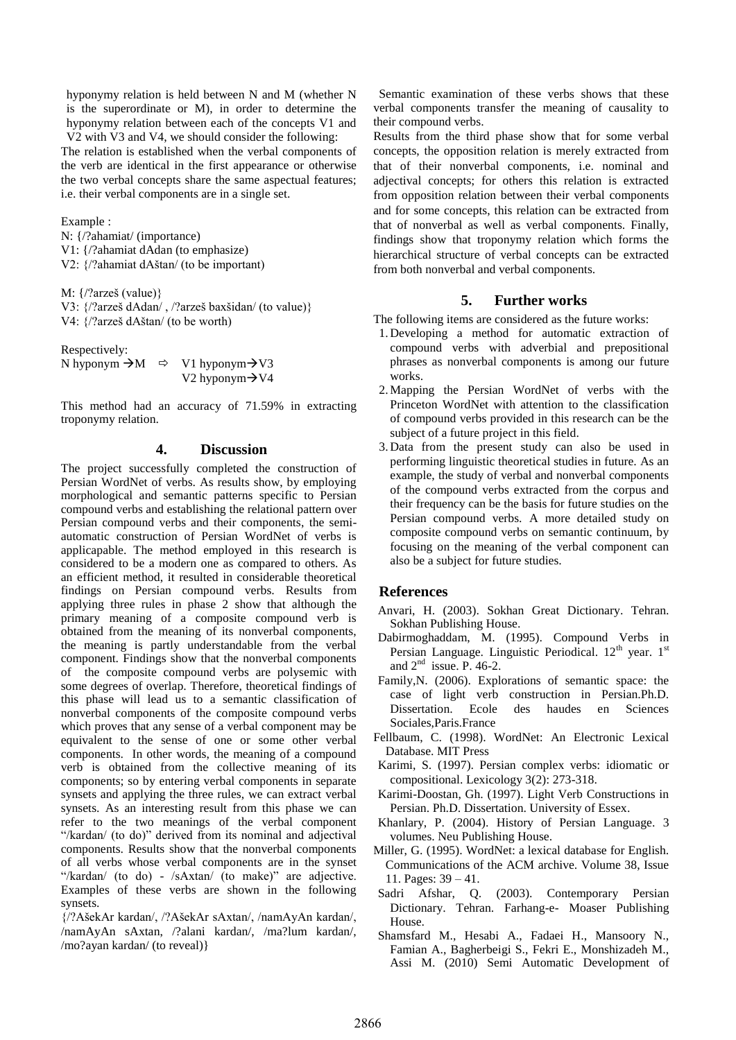hyponymy relation is held between N and M (whether N is the superordinate or M), in order to determine the hyponymy relation between each of the concepts V1 and V2 with V3 and V4, we should consider the following:

The relation is established when the verbal components of the verb are identical in the first appearance or otherwise the two verbal concepts share the same aspectual features; i.e. their verbal components are in a single set.

Example :

N: {/?ahamiat/ (importance) V1: {/?ahamiat dAdan (to emphasize) V2: {/?ahamiat dAštan/ (to be important)

M: {/?arzeš (value)}

V3: {/?arzeš dAdan/ , /?arzeš baxšidan/ (to value)} V4: {/?arzeš dAštan/ (to be worth)

Respectively:

|  | N hyponym $\Rightarrow$ M $\Rightarrow$ V1 hyponym $\Rightarrow$ V3 |
|--|---------------------------------------------------------------------|
|  | V2 hyponym $\rightarrow$ V4                                         |

This method had an accuracy of 71.59% in extracting troponymy relation.

### **4. Discussion**

The project successfully completed the construction of Persian WordNet of verbs. As results show, by employing morphological and semantic patterns specific to Persian compound verbs and establishing the relational pattern over Persian compound verbs and their components, the semiautomatic construction of Persian WordNet of verbs is applicapable. The method employed in this research is considered to be a modern one as compared to others. As an efficient method, it resulted in considerable theoretical findings on Persian compound verbs. Results from applying three rules in phase 2 show that although the primary meaning of a composite compound verb is obtained from the meaning of its nonverbal components, the meaning is partly understandable from the verbal component. Findings show that the nonverbal components of the composite compound verbs are polysemic with some degrees of overlap. Therefore, theoretical findings of this phase will lead us to a semantic classification of nonverbal components of the composite compound verbs which proves that any sense of a verbal component may be equivalent to the sense of one or some other verbal components. In other words, the meaning of a compound verb is obtained from the collective meaning of its components; so by entering verbal components in separate synsets and applying the three rules, we can extract verbal synsets. As an interesting result from this phase we can refer to the two meanings of the verbal component "/kardan/ (to do)" derived from its nominal and adjectival components. Results show that the nonverbal components of all verbs whose verbal components are in the synset "/kardan/ (to do) - /sAxtan/ (to make)" are adjective. Examples of these verbs are shown in the following synsets.

{/?AšekAr kardan/, /?AšekAr sAxtan/, /namAyAn kardan/, /namAyAn sAxtan, /?alani kardan/, /ma?lum kardan/, /mo?ayan kardan/ (to reveal)}

Semantic examination of these verbs shows that these verbal components transfer the meaning of causality to their compound verbs.

Results from the third phase show that for some verbal concepts, the opposition relation is merely extracted from that of their nonverbal components, i.e. nominal and adjectival concepts; for others this relation is extracted from opposition relation between their verbal components and for some concepts, this relation can be extracted from that of nonverbal as well as verbal components. Finally, findings show that troponymy relation which forms the hierarchical structure of verbal concepts can be extracted from both nonverbal and verbal components.

# **5. Further works**

The following items are considered as the future works:

- 1. Developing a method for automatic extraction of compound verbs with adverbial and prepositional phrases as nonverbal components is among our future works.
- 2.Mapping the Persian WordNet of verbs with the Princeton WordNet with attention to the classification of compound verbs provided in this research can be the subject of a future project in this field.
- 3. Data from the present study can also be used in performing linguistic theoretical studies in future. As an example, the study of verbal and nonverbal components of the compound verbs extracted from the corpus and their frequency can be the basis for future studies on the Persian compound verbs. A more detailed study on composite compound verbs on semantic continuum, by focusing on the meaning of the verbal component can also be a subject for future studies.

## **References**

- Anvari, H. (2003). Sokhan Great Dictionary. Tehran. Sokhan Publishing House.
- Dabirmoghaddam, M. (1995). Compound Verbs in Persian Language. Linguistic Periodical. 12<sup>th</sup> year. 1<sup>st</sup> and  $2<sup>nd</sup>$  issue. P. 46-2.
- Family,N. (2006). Explorations of semantic space: the case of light verb construction in Persian.Ph.D. Dissertation. Ecole des haudes en Sciences Sociales,Paris.France
- Fellbaum, C. (1998). WordNet: An Electronic Lexical Database. MIT Press
- Karimi, S. (1997). Persian complex verbs: idiomatic or compositional. Lexicology 3(2): 273-318.
- Karimi-Doostan, Gh. (1997). Light Verb Constructions in Persian. Ph.D. Dissertation. University of Essex.
- Khanlary, P. (2004). History of Persian Language. 3 volumes. Neu Publishing House.
- Miller, G. (1995). WordNet: a lexical database for English. Communications of the ACM archive. Volume 38, Issue 11. Pages: 39 – 41.
- Sadri Afshar, Q. (2003). Contemporary Persian Dictionary. Tehran. Farhang-e- Moaser Publishing House.
- Shamsfard M., Hesabi A., Fadaei H., Mansoory N., Famian A., Bagherbeigi S., Fekri E., Monshizadeh M., Assi M. (2010) Semi Automatic Development of